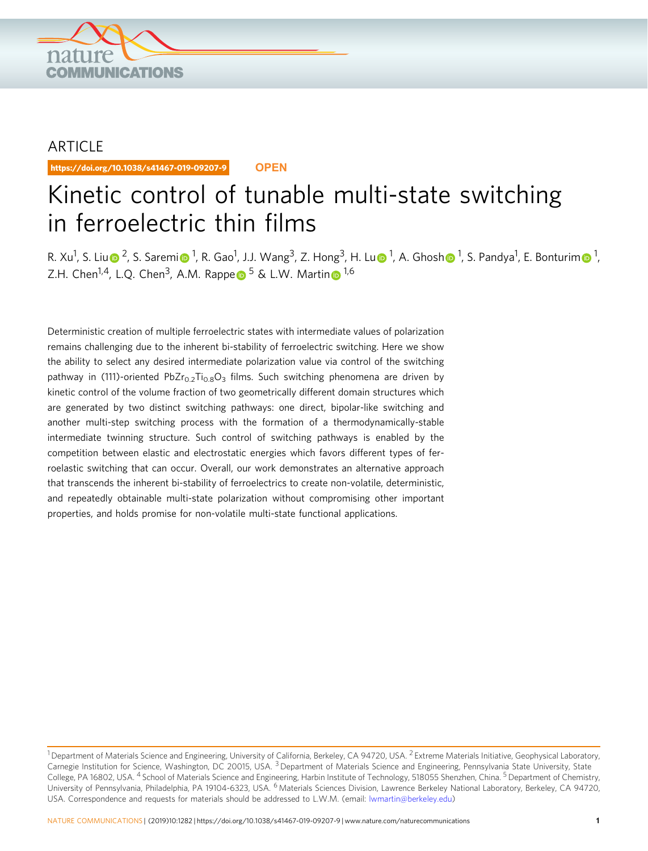

## ARTICLE

https://doi.org/10.1038/s41467-019-09207-9 **OPEN**

# Kinetic control of tunable multi-state switching in ferroelectric thin films

R. X[u](http://orcid.org/0000-0001-5758-6645)<sup>1</sup>, S. L[i](http://orcid.org/0000-0002-1625-8036)u⊚ <sup>2</sup>, S. Saremi⊚ <sup>[1](http://orcid.org/0000-0002-3391-4525)</sup>, R. Gao<sup>1</sup>, J.J. Wang<sup>3</sup>, Z. Hong<sup>3</sup>, H. Lu⊚ <sup>1</sup>, A. G[h](http://orcid.org/0000-0002-3391-4525)osh⊚ <sup>1</sup>, S. Pandya<sup>1</sup>, E. Bonturi[m](http://orcid.org/0000-0001-5302-9091)⊚ <sup>1</sup>, Z.H. Ch[e](http://orcid.org/0000-0003-4620-6496)[n](http://orcid.org/0000-0003-1889-2513)<sup>[1](http://orcid.org/0000-0003-1889-2513),4</sup>, L.Q. Chen<sup>3</sup>, A.M. Rappe  $\bullet$  <sup>[5](http://orcid.org/0000-0003-4620-6496)</sup> & L.W. Martin  $\bullet$  <sup>1,6</sup>

Deterministic creation of multiple ferroelectric states with intermediate values of polarization remains challenging due to the inherent bi-stability of ferroelectric switching. Here we show the ability to select any desired intermediate polarization value via control of the switching pathway in (111)-oriented PbZr<sub>0.2</sub>Ti<sub>0.8</sub>O<sub>3</sub> films. Such switching phenomena are driven by kinetic control of the volume fraction of two geometrically different domain structures which are generated by two distinct switching pathways: one direct, bipolar-like switching and another multi-step switching process with the formation of a thermodynamically-stable intermediate twinning structure. Such control of switching pathways is enabled by the competition between elastic and electrostatic energies which favors different types of ferroelastic switching that can occur. Overall, our work demonstrates an alternative approach that transcends the inherent bi-stability of ferroelectrics to create non-volatile, deterministic, and repeatedly obtainable multi-state polarization without compromising other important properties, and holds promise for non-volatile multi-state functional applications.

<sup>&</sup>lt;sup>1</sup> Department of Materials Science and Engineering, University of California, Berkeley, CA 94720, USA. <sup>2</sup> Extreme Materials Initiative, Geophysical Laboratory, Carnegie Institution for Science, Washington, DC 20015, USA. <sup>3</sup> Department of Materials Science and Engineering, Pennsylvania State University, State College, PA 16802, USA. <sup>4</sup> School of Materials Science and Engineering, Harbin Institute of Technology, 518055 Shenzhen, China. <sup>5</sup> Department of Chemistry, University of Pennsylvania, Philadelphia, PA 19104-6323, USA. <sup>6</sup> Materials Sciences Division, Lawrence Berkeley National Laboratory, Berkeley, CA 94720, USA. Correspondence and requests for materials should be addressed to L.W.M. (email: [lwmartin@berkeley.edu](mailto:lwmartin@berkeley.edu))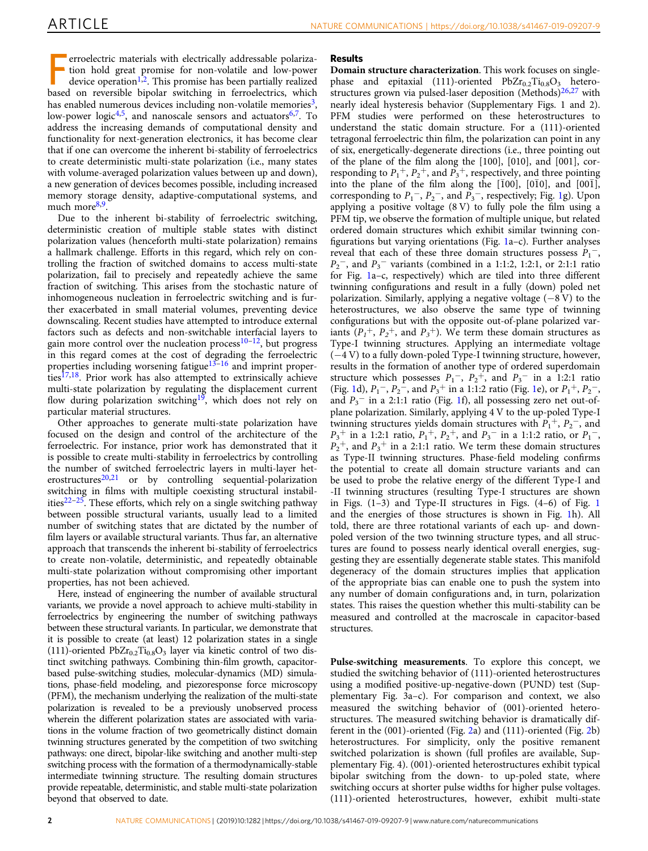F erroelectric materials with electrically addressable polarization hold great promise for non-volatile and low-power device operation<sup>[1,2](#page-8-0)</sup>. This promise has been partially realized based on reversible bipolar switching in ferroelectrics, which has enabled numerous devices including non-volatile memories<sup>[3](#page-8-0)</sup>, low-power logic<sup>[4,5](#page-8-0)</sup>, and nanoscale sensors and actuators<sup>[6,7](#page-8-0)</sup>. To address the increasing demands of computational density and functionality for next-generation electronics, it has become clear that if one can overcome the inherent bi-stability of ferroelectrics to create deterministic multi-state polarization (i.e., many states with volume-averaged polarization values between up and down), a new generation of devices becomes possible, including increased memory storage density, adaptive-computational systems, and much more<sup>[8,9](#page-8-0)</sup>.

Due to the inherent bi-stability of ferroelectric switching, deterministic creation of multiple stable states with distinct polarization values (henceforth multi-state polarization) remains a hallmark challenge. Efforts in this regard, which rely on controlling the fraction of switched domains to access multi-state polarization, fail to precisely and repeatedly achieve the same fraction of switching. This arises from the stochastic nature of inhomogeneous nucleation in ferroelectric switching and is further exacerbated in small material volumes, preventing device downscaling. Recent studies have attempted to introduce external factors such as defects and non-switchable interfacial layers to gain more control over the nucleation process $10-12$  $10-12$  $10-12$ , but progress in this regard comes at the cost of degrading the ferroelectric properties including worsening fatigue<sup>[13](#page-8-0)–[16](#page-8-0)</sup> and imprint proper- $ties^{\overline{17,18}}$  $ties^{\overline{17,18}}$  $ties^{\overline{17,18}}$ . Prior work has also attempted to extrinsically achieve multi-state polarization by regulating the displacement current flow during polarization switching<sup>[19](#page-8-0)</sup>, which does not rely on particular material structures.

Other approaches to generate multi-state polarization have focused on the design and control of the architecture of the ferroelectric. For instance, prior work has demonstrated that it is possible to create multi-stability in ferroelectrics by controlling the number of switched ferroelectric layers in multi-layer het-erostructures<sup>[20](#page-8-0),[21](#page-8-0)</sup> or by controlling sequential-polarization switching in films with multiple coexisting structural instabilities $22-25$  $22-25$  $22-25$ . These efforts, which rely on a single switching pathway between possible structural variants, usually lead to a limited number of switching states that are dictated by the number of film layers or available structural variants. Thus far, an alternative approach that transcends the inherent bi-stability of ferroelectrics to create non-volatile, deterministic, and repeatedly obtainable multi-state polarization without compromising other important properties, has not been achieved.

Here, instead of engineering the number of available structural variants, we provide a novel approach to achieve multi-stability in ferroelectrics by engineering the number of switching pathways between these structural variants. In particular, we demonstrate that it is possible to create (at least) 12 polarization states in a single  $(111)$ -oriented PbZr<sub>0.2</sub>Ti<sub>0.8</sub>O<sub>3</sub> layer via kinetic control of two distinct switching pathways. Combining thin-film growth, capacitorbased pulse-switching studies, molecular-dynamics (MD) simulations, phase-field modeling, and piezoresponse force microscopy (PFM), the mechanism underlying the realization of the multi-state polarization is revealed to be a previously unobserved process wherein the different polarization states are associated with variations in the volume fraction of two geometrically distinct domain twinning structures generated by the competition of two switching pathways: one direct, bipolar-like switching and another multi-step switching process with the formation of a thermodynamically-stable intermediate twinning structure. The resulting domain structures provide repeatable, deterministic, and stable multi-state polarization beyond that observed to date.

## Results

Domain structure characterization. This work focuses on singlephase and epitaxial (111)-oriented  $PbZr_{0.2}Ti_{0.8}O_3$  heterostructures grown via pulsed-laser deposition (Methods) $26,27$  with nearly ideal hysteresis behavior (Supplementary Figs. 1 and 2). PFM studies were performed on these heterostructures to understand the static domain structure. For a (111)-oriented tetragonal ferroelectric thin film, the polarization can point in any of six, energetically-degenerate directions (i.e., three pointing out of the plane of the film along the [100], [010], and [001], corresponding to  $P_1^+$ ,  $P_2^+$ , and  $P_3^+$ , respectively, and three pointing into the plane of the film along the  $[100]$ ,  $[0\bar{1}0]$ , and  $[00\bar{1}]$ , corresponding to  $P_1^ P_1^ P_1^-$ ,  $P_2^-$ , and  $P_3^-$ , respectively; Fig. 1g). Upon applying a positive voltage (8 V) to fully pole the film using a PFM tip, we observe the formation of multiple unique, but related ordered domain structures which exhibit similar twinning configurations but varying orientations (Fig. [1a](#page-2-0)–c). Further analyses reveal that each of these three domain structures possess  $P_1^-$ ,  $P_2$ <sup>-</sup>, and  $P_3$ <sup>-</sup> variants (combined in a 1:1:2, 1:2:1, or 2:1:1 ratio for Fig. [1a](#page-2-0)–c, respectively) which are tiled into three different twinning configurations and result in a fully (down) poled net polarization. Similarly, applying a negative voltage (−8 V) to the heterostructures, we also observe the same type of twinning configurations but with the opposite out-of-plane polarized variants  $(P_1^+, P_2^+, \text{ and } P_3^+)$ . We term these domain structures as Type-I twinning structures. Applying an intermediate voltage (−4 V) to a fully down-poled Type-I twinning structure, however, results in the formation of another type of ordered superdomain structure which possesses  $P_1^-$ ,  $P_2^+$ , and  $P_3^-$  in a 1:2:1 ratio (Fig. [1d](#page-2-0)),  $P_1^-$ ,  $P_2^-$ , and  $P_3^+$  in a 1:1:2 ratio (Fig. [1e](#page-2-0)), or  $P_1^+$ ,  $P_2^-$ , and  $P_3$ <sup>-</sup> in a 2:[1](#page-2-0):1 ratio (Fig. 1f), all possessing zero net out-ofplane polarization. Similarly, applying 4 V to the up-poled Type-I twinning structures yields domain structures with  $P_1^+$ ,  $P_2^-$ , and  $P_3$ <sup>+</sup> in a 1:2:1 ratio,  $P_1$ <sup>+</sup>,  $P_2$ <sup>+</sup>, and  $P_3$ <sup>-</sup> in a 1:1:2 ratio, or  $P_1$ <sup>-</sup>,  $P_2$ <sup>+</sup>, and  $P_3$ <sup>+</sup> in a 2:1:1 ratio. We term these domain structures as Type-II twinning structures. Phase-field modeling confirms the potential to create all domain structure variants and can be used to probe the relative energy of the different Type-I and -II twinning structures (resulting Type-I structures are shown in Figs. (1–3) and Type-II structures in Figs. (4–6) of Fig. [1](#page-2-0) and the energies of those structures is shown in Fig. [1h](#page-2-0)). All told, there are three rotational variants of each up- and downpoled version of the two twinning structure types, and all structures are found to possess nearly identical overall energies, suggesting they are essentially degenerate stable states. This manifold degeneracy of the domain structures implies that application of the appropriate bias can enable one to push the system into any number of domain configurations and, in turn, polarization states. This raises the question whether this multi-stability can be measured and controlled at the macroscale in capacitor-based structures.

Pulse-switching measurements. To explore this concept, we studied the switching behavior of (111)-oriented heterostructures using a modified positive-up-negative-down (PUND) test (Supplementary Fig. 3a–c). For comparison and context, we also measured the switching behavior of (001)-oriented heterostructures. The measured switching behavior is dramatically different in the (001)-oriented (Fig. [2a](#page-3-0)) and (111)-oriented (Fig. [2b](#page-3-0)) heterostructures. For simplicity, only the positive remanent switched polarization is shown (full profiles are available, Supplementary Fig. 4). (001)-oriented heterostructures exhibit typical bipolar switching from the down- to up-poled state, where switching occurs at shorter pulse widths for higher pulse voltages. (111)-oriented heterostructures, however, exhibit multi-state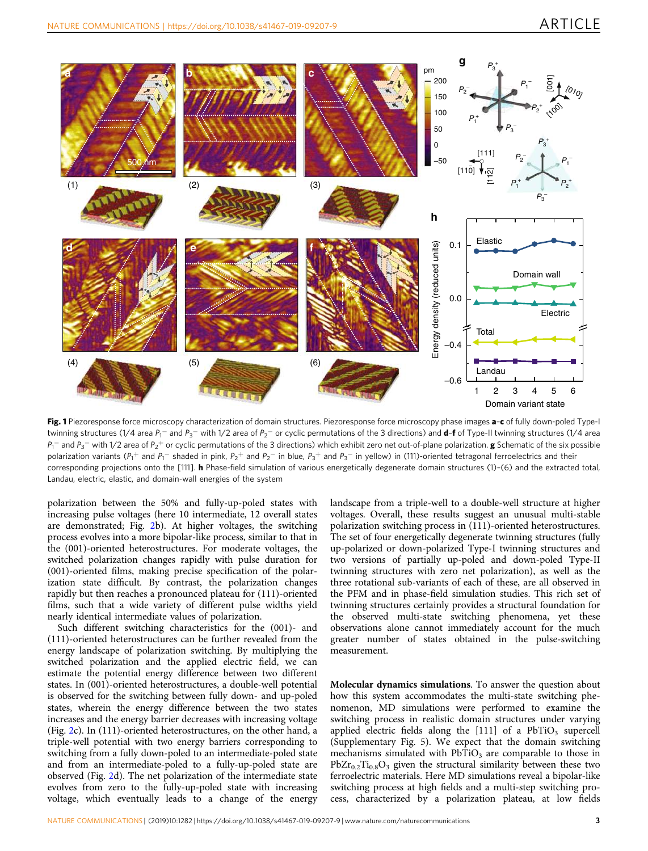<span id="page-2-0"></span>

Fig. 1 Piezoresponse force microscopy characterization of domain structures. Piezoresponse force microscopy phase images a-c of fully down-poled Type-I twinning structures (1/4 area P<sub>1</sub>– and P<sub>3</sub>– with 1/2 area of P<sub>2</sub>– or cyclic permutations of the 3 directions) and **d-f** of Type-II twinning structures (1/4 area  $P_1^-$  and  $P_3^-$  with 1/2 area of  $P_2^+$  or cyclic permutations of the 3 directions) which exhibit zero net out-of-plane polarization. **g** Schematic of the six possible polarization variants (P<sub>1</sub>+ and P<sub>1</sub>- shaded in pink, P<sub>2</sub>+ and P<sub>2</sub>- in blue, P<sub>3</sub>+ and P<sub>3</sub>- in yellow) in (111)-oriented tetragonal ferroelectrics and their corresponding projections onto the [111]. **h** Phase-field simulation of various energetically degenerate domain structures (1)-(6) and the extracted total, Landau, electric, elastic, and domain-wall energies of the system

polarization between the 50% and fully-up-poled states with increasing pulse voltages (here 10 intermediate, 12 overall states are demonstrated; Fig. [2b](#page-3-0)). At higher voltages, the switching process evolves into a more bipolar-like process, similar to that in the (001)-oriented heterostructures. For moderate voltages, the switched polarization changes rapidly with pulse duration for (001)-oriented films, making precise specification of the polarization state difficult. By contrast, the polarization changes rapidly but then reaches a pronounced plateau for (111)-oriented films, such that a wide variety of different pulse widths yield nearly identical intermediate values of polarization.

Such different switching characteristics for the (001)- and (111)-oriented heterostructures can be further revealed from the energy landscape of polarization switching. By multiplying the switched polarization and the applied electric field, we can estimate the potential energy difference between two different states. In (001)-oriented heterostructures, a double-well potential is observed for the switching between fully down- and up-poled states, wherein the energy difference between the two states increases and the energy barrier decreases with increasing voltage (Fig. [2c](#page-3-0)). In (111)-oriented heterostructures, on the other hand, a triple-well potential with two energy barriers corresponding to switching from a fully down-poled to an intermediate-poled state and from an intermediate-poled to a fully-up-poled state are observed (Fig. [2d](#page-3-0)). The net polarization of the intermediate state evolves from zero to the fully-up-poled state with increasing voltage, which eventually leads to a change of the energy

landscape from a triple-well to a double-well structure at higher voltages. Overall, these results suggest an unusual multi-stable polarization switching process in (111)-oriented heterostructures. The set of four energetically degenerate twinning structures (fully up-polarized or down-polarized Type-I twinning structures and two versions of partially up-poled and down-poled Type-II twinning structures with zero net polarization), as well as the three rotational sub-variants of each of these, are all observed in the PFM and in phase-field simulation studies. This rich set of twinning structures certainly provides a structural foundation for the observed multi-state switching phenomena, yet these observations alone cannot immediately account for the much greater number of states obtained in the pulse-switching measurement.

Molecular dynamics simulations. To answer the question about how this system accommodates the multi-state switching phenomenon, MD simulations were performed to examine the switching process in realistic domain structures under varying applied electric fields along the  $[111]$  of a PbTiO<sub>3</sub> supercell (Supplementary Fig. 5). We expect that the domain switching mechanisms simulated with  $PbTiO<sub>3</sub>$  are comparable to those in  $PbZr_{0.2}Ti_{0.8}O_3$  given the structural similarity between these two ferroelectric materials. Here MD simulations reveal a bipolar-like switching process at high fields and a multi-step switching process, characterized by a polarization plateau, at low fields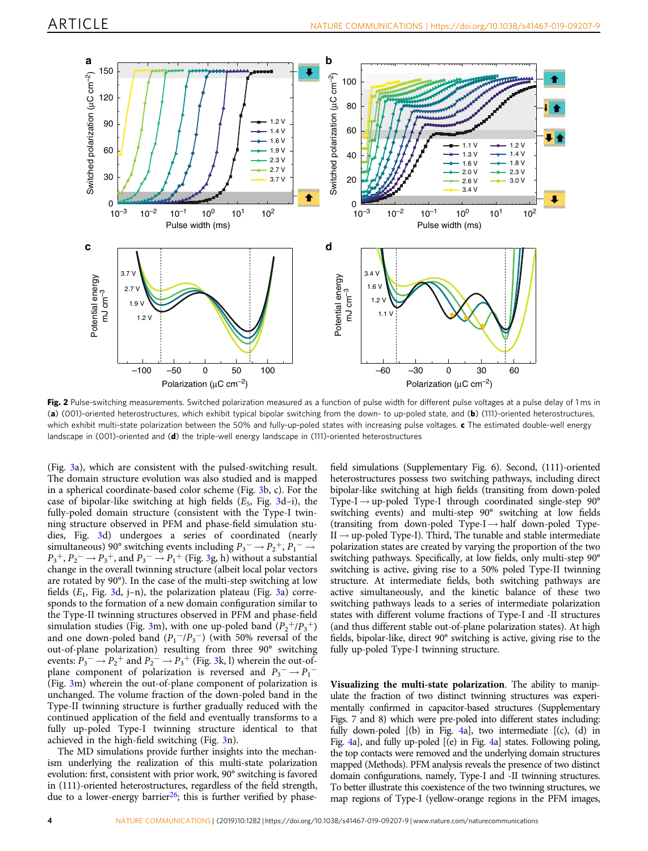<span id="page-3-0"></span>

Fig. 2 Pulse-switching measurements. Switched polarization measured as a function of pulse width for different pulse voltages at a pulse delay of 1 ms in (a) (001)-oriented heterostructures, which exhibit typical bipolar switching from the down- to up-poled state, and (b) (111)-oriented heterostructures, which exhibit multi-state polarization between the 50% and fully-up-poled states with increasing pulse voltages. c The estimated double-well energy landscape in (001)-oriented and (d) the triple-well energy landscape in (111)-oriented heterostructures

(Fig. [3a](#page-4-0)), which are consistent with the pulsed-switching result. The domain structure evolution was also studied and is mapped in a spherical coordinate-based color scheme (Fig. [3](#page-4-0)b, c). For the case of bipolar-like switching at high fields  $(E_5, Fig. 3d-i)$  $(E_5, Fig. 3d-i)$  $(E_5, Fig. 3d-i)$ , the fully-poled domain structure (consistent with the Type-I twinning structure observed in PFM and phase-field simulation studies, Fig. [3](#page-4-0)d) undergoes a series of coordinated (nearly simultaneous) 90° switching events including  $P_3^- \rightarrow P_2^+, P_1^- \rightarrow$  $P_3^+, P_2^- \rightarrow P_3^+,$  and  $P_3^- \rightarrow P_1^+$  (Fig. [3g](#page-4-0), h) without a substantial change in the overall twinning structure (albeit local polar vectors are rotated by 90°). In the case of the multi-step switching at low fields ( $E_1$ , Fig. [3](#page-4-0)d, j-n), the polarization plateau (Fig. [3a](#page-4-0)) corresponds to the formation of a new domain configuration similar to the Type-II twinning structures observed in PFM and phase-field simulation studies (Fig. [3m](#page-4-0)), with one up-poled band  $(P_2^{+}/P_3^{+})$ and one down-poled band  $(P_1^{-}/P_3^{-})$  (with 50% reversal of the out-of-plane polarization) resulting from three 90° switching events:  $P_3^- \rightarrow P_2^+$  $P_3^- \rightarrow P_2^+$  $P_3^- \rightarrow P_2^+$  and  $P_2^- \rightarrow P_3^+$  (Fig. 3k, l) wherein the out-ofplane component of polarization is reversed and  $P_3^- \rightarrow P_1^-$ (Fig. [3](#page-4-0)m) wherein the out-of-plane component of polarization is unchanged. The volume fraction of the down-poled band in the Type-II twinning structure is further gradually reduced with the continued application of the field and eventually transforms to a fully up-poled Type-I twinning structure identical to that achieved in the high-field switching (Fig. [3n](#page-4-0)).

The MD simulations provide further insights into the mechanism underlying the realization of this multi-state polarization evolution: first, consistent with prior work, 90° switching is favored in (111)-oriented heterostructures, regardless of the field strength, due to a lower-energy barrier<sup>[26](#page-9-0)</sup>; this is further verified by phase-

field simulations (Supplementary Fig. 6). Second, (111)-oriented heterostructures possess two switching pathways, including direct bipolar-like switching at high fields (transiting from down-poled Type-I  $\rightarrow$  up-poled Type-I through coordinated single-step 90 $^{\circ}$ switching events) and multi-step 90° switching at low fields (transiting from down-poled Type-I $\rightarrow$  half down-poled Type- $II \rightarrow up-poled Type-I$ ). Third, The tunable and stable intermediate polarization states are created by varying the proportion of the two switching pathways. Specifically, at low fields, only multi-step 90° switching is active, giving rise to a 50% poled Type-II twinning structure. At intermediate fields, both switching pathways are active simultaneously, and the kinetic balance of these two switching pathways leads to a series of intermediate polarization states with different volume fractions of Type-I and -II structures (and thus different stable out-of-plane polarization states). At high fields, bipolar-like, direct 90° switching is active, giving rise to the fully up-poled Type-I twinning structure.

Visualizing the multi-state polarization. The ability to manipulate the fraction of two distinct twinning structures was experimentally confirmed in capacitor-based structures (Supplementary Figs. 7 and 8) which were pre-poled into different states including: fully down-poled [(b) in Fig. [4](#page-5-0)a], two intermediate [(c), (d) in Fig. [4a](#page-5-0)], and fully up-poled [(e) in Fig. [4a](#page-5-0)] states. Following poling, the top contacts were removed and the underlying domain structures mapped (Methods). PFM analysis reveals the presence of two distinct domain configurations, namely, Type-I and -II twinning structures. To better illustrate this coexistence of the two twinning structures, we map regions of Type-I (yellow-orange regions in the PFM images,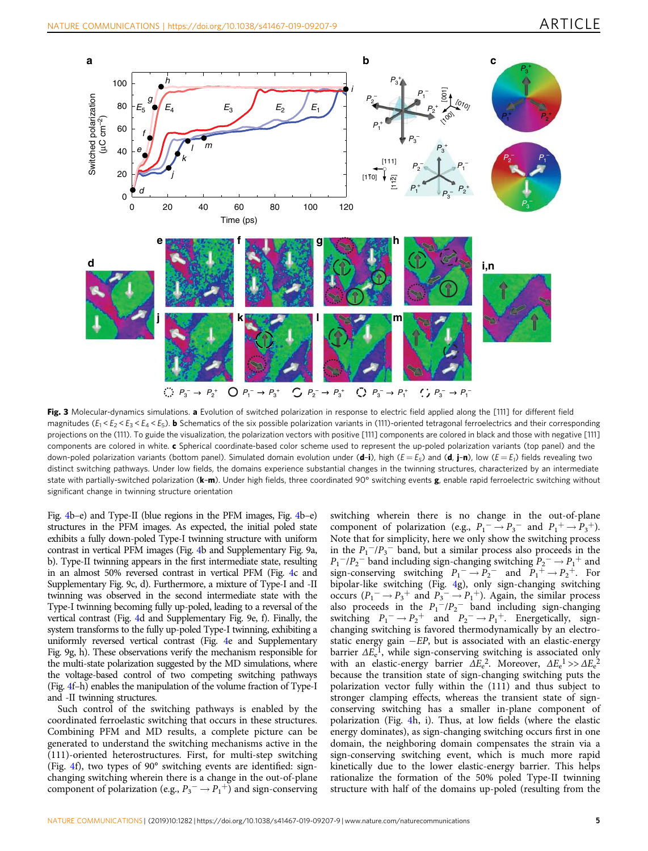<span id="page-4-0"></span>

Fig. 3 Molecular-dynamics simulations. a Evolution of switched polarization in response to electric field applied along the [111] for different field magnitudes  $(E_1 \le E_2 \le E_3 \le E_4 \le E_5)$ . **b** Schematics of the six possible polarization variants in (111)-oriented tetragonal ferroelectrics and their corresponding projections on the (111). To guide the visualization, the polarization vectors with positive [111] components are colored in black and those with negative [111] components are colored in white. c Spherical coordinate-based color scheme used to represent the up-poled polarization variants (top panel) and the down-poled polarization variants (bottom panel). Simulated domain evolution under (d-i), high ( $E = E_5$ ) and (d, j-n), low ( $E = E_1$ ) fields revealing two distinct switching pathways. Under low fields, the domains experience substantial changes in the twinning structures, characterized by an intermediate state with partially-switched polarization ( $k-m$ ). Under high fields, three coordinated 90° switching events  $g$ , enable rapid ferroelectric switching without significant change in twinning structure orientation

Fig. [4b](#page-5-0)–e) and Type-II (blue regions in the PFM images, Fig. [4b](#page-5-0)–e) structures in the PFM images. As expected, the initial poled state exhibits a fully down-poled Type-I twinning structure with uniform contrast in vertical PFM images (Fig. [4b](#page-5-0) and Supplementary Fig. 9a, b). Type-II twinning appears in the first intermediate state, resulting in an almost 50% reversed contrast in vertical PFM (Fig. [4](#page-5-0)c and Supplementary Fig. 9c, d). Furthermore, a mixture of Type-I and -II twinning was observed in the second intermediate state with the Type-I twinning becoming fully up-poled, leading to a reversal of the vertical contrast (Fig. [4](#page-5-0)d and Supplementary Fig. 9e, f). Finally, the system transforms to the fully up-poled Type-I twinning, exhibiting a uniformly reversed vertical contrast (Fig. [4e](#page-5-0) and Supplementary Fig. 9g, h). These observations verify the mechanism responsible for the multi-state polarization suggested by the MD simulations, where the voltage-based control of two competing switching pathways (Fig. [4](#page-5-0)f–h) enables the manipulation of the volume fraction of Type-I and -II twinning structures.

Such control of the switching pathways is enabled by the coordinated ferroelastic switching that occurs in these structures. Combining PFM and MD results, a complete picture can be generated to understand the switching mechanisms active in the (111)-oriented heterostructures. First, for multi-step switching (Fig. [4f](#page-5-0)), two types of 90° switching events are identified: signchanging switching wherein there is a change in the out-of-plane component of polarization (e.g.,  $P_3^- \rightarrow P_1^+$ ) and sign-conserving

switching wherein there is no change in the out-of-plane component of polarization (e.g.,  $P_1^- \rightarrow P_3^-$  and  $P_1^+ \rightarrow P_3^+$ ). Note that for simplicity, here we only show the switching process in the  $P_1^{-}/P_3^{-}$  band, but a similar process also proceeds in the  $P_1^-/P_2^-$  band including sign-changing switching  $P_2^- \rightarrow P_1^+$  and sign-conserving switching  $P_1 \rightarrow P_2$  and  $P_1 \rightarrow P_2$ <sup>+</sup>. For bipolar-like switching (Fig. [4](#page-5-0)g), only sign-changing switching occurs  $(P_1^- \rightarrow P_3^+$  and  $P_3^- \rightarrow P_1^+$ ). Again, the similar process also proceeds in the  $P_1^{-}/P_2^{-}$  band including sign-changing switching  $P_1^- \rightarrow P_2^+$  and  $P_2^- \rightarrow P_1^+$ . Energetically, signchanging switching is favored thermodynamically by an electrostatic energy gain  $-EP$ , but is associated with an elastic-energy barrier  $\Delta E_e^1$ , while sign-conserving switching is associated only with an elastic-energy barrier  $\Delta E_e^2$ . Moreover,  $\Delta E_e^1 >> \Delta E_e^2$ because the transition state of sign-changing switching puts the polarization vector fully within the (111) and thus subject to stronger clamping effects, whereas the transient state of signconserving switching has a smaller in-plane component of polarization (Fig. [4](#page-5-0)h, i). Thus, at low fields (where the elastic energy dominates), as sign-changing switching occurs first in one domain, the neighboring domain compensates the strain via a sign-conserving switching event, which is much more rapid kinetically due to the lower elastic-energy barrier. This helps rationalize the formation of the 50% poled Type-II twinning structure with half of the domains up-poled (resulting from the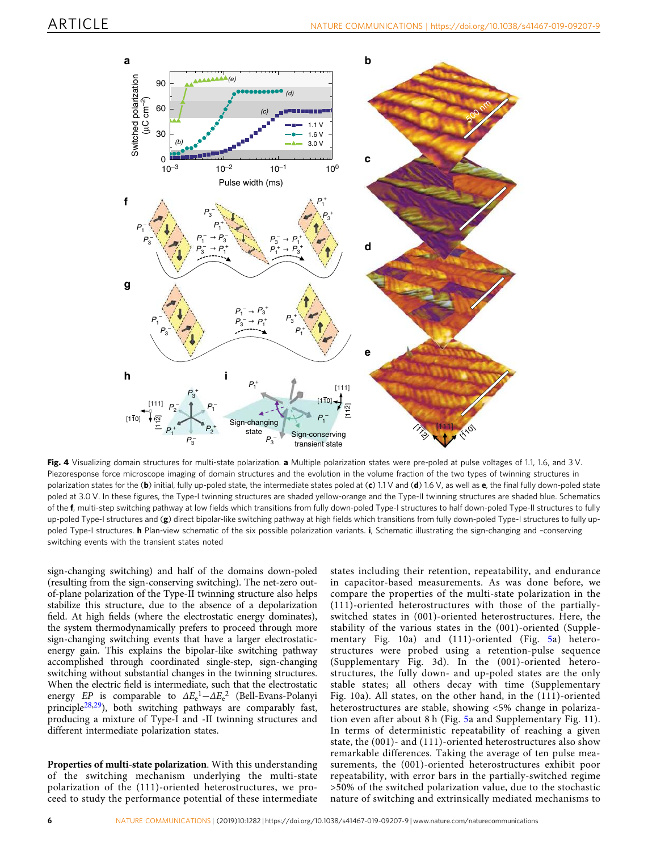<span id="page-5-0"></span>

Fig. 4 Visualizing domain structures for multi-state polarization. a Multiple polarization states were pre-poled at pulse voltages of 1.1, 1.6, and 3 V. Piezoresponse force microscope imaging of domain structures and the evolution in the volume fraction of the two types of twinning structures in polarization states for the (b) initial, fully up-poled state, the intermediate states poled at (c) 1.1 V and (d) 1.6 V, as well as e, the final fully down-poled state poled at 3.0 V. In these figures, the Type-I twinning structures are shaded yellow-orange and the Type-II twinning structures are shaded blue. Schematics of the f, multi-step switching pathway at low fields which transitions from fully down-poled Type-I structures to half down-poled Type-II structures to fully up-poled Type-I structures and  $(g)$  direct bipolar-like switching pathway at high fields which transitions from fully down-poled Type-I structures to fully uppoled Type-I structures. **h** Plan-view schematic of the six possible polarization variants. i, Schematic illustrating the sign-changing and -conserving switching events with the transient states noted

sign-changing switching) and half of the domains down-poled (resulting from the sign-conserving switching). The net-zero outof-plane polarization of the Type-II twinning structure also helps stabilize this structure, due to the absence of a depolarization field. At high fields (where the electrostatic energy dominates), the system thermodynamically prefers to proceed through more sign-changing switching events that have a larger electrostaticenergy gain. This explains the bipolar-like switching pathway accomplished through coordinated single-step, sign-changing switching without substantial changes in the twinning structures. When the electric field is intermediate, such that the electrostatic energy  $EP$  is comparable to  $\Delta E_e^1 - \Delta E_e^2$  (Bell-Evans-Polanyi principle[28,29](#page-9-0)), both switching pathways are comparably fast, producing a mixture of Type-I and -II twinning structures and different intermediate polarization states.

Properties of multi-state polarization. With this understanding of the switching mechanism underlying the multi-state polarization of the (111)-oriented heterostructures, we proceed to study the performance potential of these intermediate states including their retention, repeatability, and endurance in capacitor-based measurements. As was done before, we compare the properties of the multi-state polarization in the (111)-oriented heterostructures with those of the partiallyswitched states in (001)-oriented heterostructures. Here, the stability of the various states in the (001)-oriented (Supplementary Fig. 10a) and (111)-oriented (Fig. [5a](#page-6-0)) heterostructures were probed using a retention-pulse sequence (Supplementary Fig. 3d). In the (001)-oriented heterostructures, the fully down- and up-poled states are the only stable states; all others decay with time (Supplementary Fig. 10a). All states, on the other hand, in the (111)-oriented heterostructures are stable, showing <5% change in polarization even after about 8 h (Fig. [5a](#page-6-0) and Supplementary Fig. 11). In terms of deterministic repeatability of reaching a given state, the (001)- and (111)-oriented heterostructures also show remarkable differences. Taking the average of ten pulse measurements, the (001)-oriented heterostructures exhibit poor repeatability, with error bars in the partially-switched regime >50% of the switched polarization value, due to the stochastic nature of switching and extrinsically mediated mechanisms to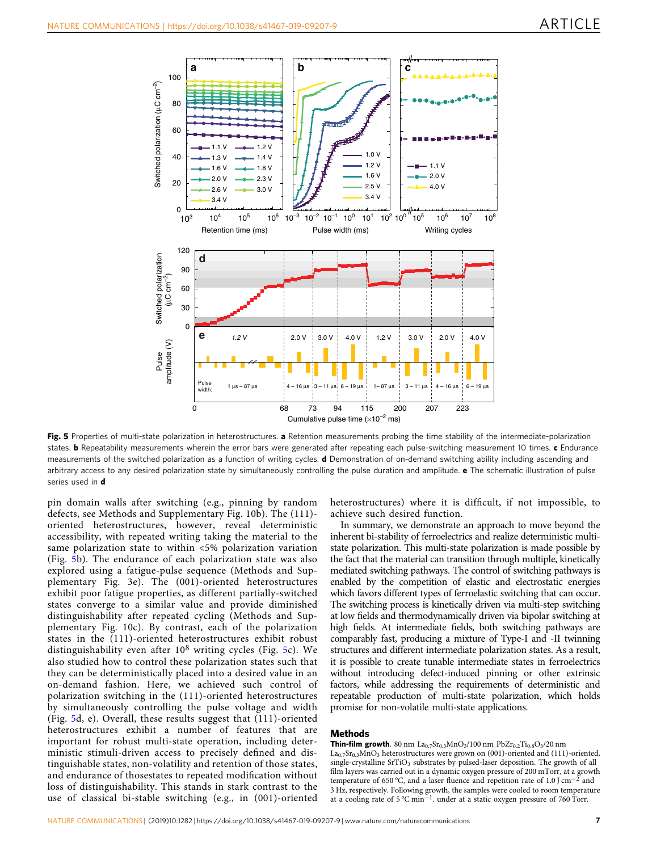<span id="page-6-0"></span>

Fig. 5 Properties of multi-state polarization in heterostructures. a Retention measurements probing the time stability of the intermediate-polarization states. **b** Repeatability measurements wherein the error bars were generated after repeating each pulse-switching measurement 10 times. c Endurance measurements of the switched polarization as a function of writing cycles. **d** Demonstration of on-demand switching ability including ascending and arbitrary access to any desired polarization state by simultaneously controlling the pulse duration and amplitude. e The schematic illustration of pulse series used in d

pin domain walls after switching (e.g., pinning by random defects, see Methods and Supplementary Fig. 10b). The (111) oriented heterostructures, however, reveal deterministic accessibility, with repeated writing taking the material to the same polarization state to within <5% polarization variation (Fig. 5b). The endurance of each polarization state was also explored using a fatigue-pulse sequence (Methods and Supplementary Fig. 3e). The (001)-oriented heterostructures exhibit poor fatigue properties, as different partially-switched states converge to a similar value and provide diminished distinguishability after repeated cycling (Methods and Supplementary Fig. 10c). By contrast, each of the polarization states in the (111)-oriented heterostructures exhibit robust distinguishability even after  $10^8$  writing cycles (Fig. 5c). We also studied how to control these polarization states such that they can be deterministically placed into a desired value in an on-demand fashion. Here, we achieved such control of polarization switching in the (111)-oriented heterostructures by simultaneously controlling the pulse voltage and width (Fig. 5d, e). Overall, these results suggest that (111)-oriented heterostructures exhibit a number of features that are important for robust multi-state operation, including deterministic stimuli-driven access to precisely defined and distinguishable states, non-volatility and retention of those states, and endurance of thosestates to repeated modification without loss of distinguishability. This stands in stark contrast to the use of classical bi-stable switching (e.g., in (001)-oriented heterostructures) where it is difficult, if not impossible, to achieve such desired function.

In summary, we demonstrate an approach to move beyond the inherent bi-stability of ferroelectrics and realize deterministic multistate polarization. This multi-state polarization is made possible by the fact that the material can transition through multiple, kinetically mediated switching pathways. The control of switching pathways is enabled by the competition of elastic and electrostatic energies which favors different types of ferroelastic switching that can occur. The switching process is kinetically driven via multi-step switching at low fields and thermodynamically driven via bipolar switching at high fields. At intermediate fields, both switching pathways are comparably fast, producing a mixture of Type-I and -II twinning structures and different intermediate polarization states. As a result, it is possible to create tunable intermediate states in ferroelectrics without introducing defect-induced pinning or other extrinsic factors, while addressing the requirements of deterministic and repeatable production of multi-state polarization, which holds promise for non-volatile multi-state applications.

#### Methods

**Thin-film growth**. 80 nm  $La_{0.7}Sr_{0.3}MnO_3/100$  nm  $PbZr_{0.2}Ti_{0.8}O_3/20$  nm  $La<sub>0.7</sub>Sr<sub>0.3</sub>MnO<sub>3</sub> heterostructures were grown on (001)-oriented and (111)-oriented,$ single-crystalline SrTiO<sub>3</sub> substrates by pulsed-laser deposition. The growth of all film layers was carried out in a dynamic oxygen pressure of 200 mTorr, at a growth temperature of 650 °C, and a laser fluence and repetition rate of 1.0 J cm<sup>-2</sup> and 3 Hz, respectively. Following growth, the samples were cooled to room temperature at a cooling rate of 5 ℃ min<sup>-1</sup>. under at a static oxygen pressure of 760 Torr.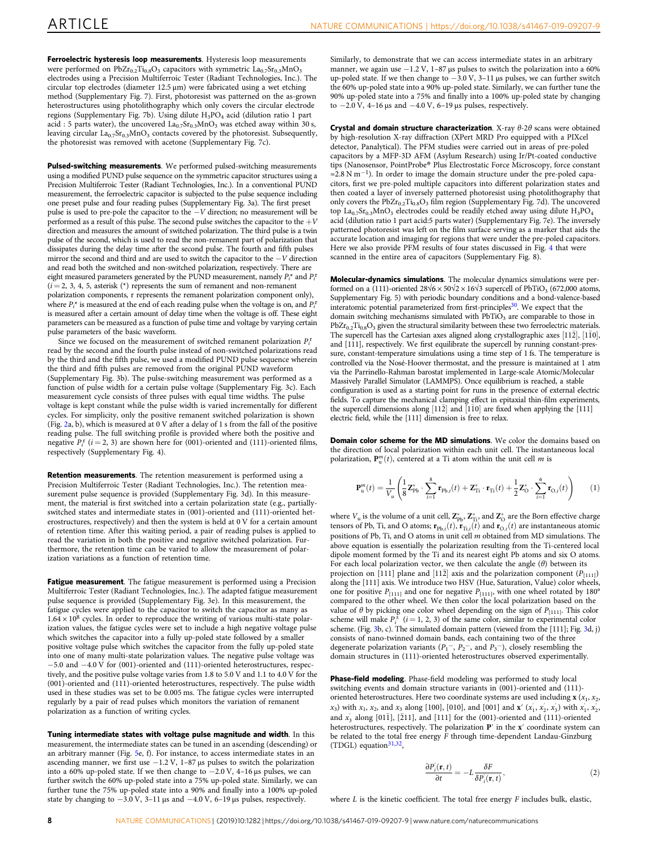Ferroelectric hysteresis loop measurements. Hysteresis loop measurements were performed on PbZr<sub>0.2</sub>Ti<sub>0.8</sub>O<sub>3</sub> capacitors with symmetric  $La_{0.7}Sr_{0.3}MnO_3$ electrodes using a Precision Multiferroic Tester (Radiant Technologies, Inc.). The circular top electrodes (diameter 12.5 μm) were fabricated using a wet etching method (Supplementary Fig. 7). First, photoresist was patterned on the as-grown heterostructures using photolithography which only covers the circular electrode regions (Supplementary Fig. 7b). Using dilute  $H_3PO_4$  acid (dilution ratio 1 part acid : 5 parts water), the uncovered  $La_{0.7}Sr_{0.3}MnO_3$  was etched away within 30 s, leaving circular La<sub>0.7</sub>Sr<sub>0.3</sub>MnO<sub>3</sub> contacts covered by the photoresist. Subsequently, the photoresist was removed with acetone (Supplementary Fig. 7c).

Pulsed-switching measurements. We performed pulsed-switching measurements using a modified PUND pulse sequence on the symmetric capacitor structures using a Precision Multiferroic Tester (Radiant Technologies, Inc.). In a conventional PUND measurement, the ferroelectric capacitor is subjected to the pulse sequence including one preset pulse and four reading pulses (Supplementary Fig. 3a). The first preset pulse is used to pre-pole the capacitor to the −V direction; no measurement will be performed as a result of this pulse. The second pulse switches the capacitor to the  $+V$ direction and measures the amount of switched polarization. The third pulse is a twin pulse of the second, which is used to read the non-remanent part of polarization that dissipates during the delay time after the second pulse. The fourth and fifth pulses mirror the second and third and are used to switch the capacitor to the −V direction and read both the switched and non-switched polarization, respectively. There are eight measured parameters generated by the PUND measurement, namely  $P_i^*$  and  $P_i^*$  $(i = 2, 3, 4, 5,$  asterisk (\*) represents the sum of remanent and non-remanent polarization components, r represents the remanent polarization component only), where  $P_i^*$  is measured at the end of each reading pulse when the voltage is on, and  $P_i^*$ is measured after a certain amount of delay time when the voltage is off. These eight parameters can be measured as a function of pulse time and voltage by varying certain pulse parameters of the basic waveform.

Since we focused on the measurement of switched remanent polarization  $P_i^{\text{r}}$ read by the second and the fourth pulse instead of non-switched polarizations read by the third and the fifth pulse, we used a modified PUND pulse sequence wherein the third and fifth pulses are removed from the original PUND waveform (Supplementary Fig. 3b). The pulse-switching measurement was performed as a function of pulse width for a certain pulse voltage (Supplementary Fig. 3c). Each measurement cycle consists of three pulses with equal time widths. The pulse voltage is kept constant while the pulse width is varied incrementally for different cycles. For simplicity, only the positive remanent switched polarization is shown (Fig. [2](#page-3-0)a, b), which is measured at 0 V after a delay of 1 s from the fall of the positive reading pulse. The full switching profile is provided where both the positive and negative  $P_i^r$  ( $i = 2, 3$ ) are shown here for (001)-oriented and (111)-oriented films, respectively (Supplementary Fig. 4).

Retention measurements. The retention measurement is performed using a Precision Multiferroic Tester (Radiant Technologies, Inc.). The retention measurement pulse sequence is provided (Supplementary Fig. 3d). In this measurement, the material is first switched into a certain polarization state (e.g., partiallyswitched states and intermediate states in (001)-oriented and (111)-oriented heterostructures, respectively) and then the system is held at 0 V for a certain amount of retention time. After this waiting period, a pair of reading pulses is applied to read the variation in both the positive and negative switched polarization. Furthermore, the retention time can be varied to allow the measurement of polarization variations as a function of retention time.

Fatigue measurement. The fatigue measurement is performed using a Precision Multiferroic Tester (Radiant Technologies, Inc.). The adapted fatigue measurement pulse sequence is provided (Supplementary Fig. 3e). In this measurement, the fatigue cycles were applied to the capacitor to switch the capacitor as many as  $1.64 \times 10^8$  cycles. In order to reproduce the writing of various multi-state polarization values, the fatigue cycles were set to include a high negative voltage pulse which switches the capacitor into a fully up-poled state followed by a smaller positive voltage pulse which switches the capacitor from the fully up-poled state into one of many multi-state polarization values. The negative pulse voltage was −5.0 and −4.0 V for (001)-oriented and (111)-oriented heterostructures, respectively, and the positive pulse voltage varies from 1.8 to 5.0 V and 1.1 to 4.0 V for the (001)-oriented and (111)-oriented heterostructures, respectively. The pulse width used in these studies was set to be 0.005 ms. The fatigue cycles were interrupted regularly by a pair of read pulses which monitors the variation of remanent polarization as a function of writing cycles.

Tuning intermediate states with voltage pulse magnitude and width. In this measurement, the intermediate states can be tuned in an ascending (descending) or an arbitrary manner (Fig. [5](#page-6-0)e, f). For instance, to access intermediate states in an ascending manner, we first use −1.2 V, 1–87 μs pulses to switch the polarization into a 60% up-poled state. If we then change to −2.0 V, 4–16 μs pulses, we can further switch the 60% up-poled state into a 75% up-poled state. Similarly, we can further tune the 75% up-poled state into a 90% and finally into a 100% up-poled state by changing to  $-3.0$  V,  $3-11$  µs and  $-4.0$  V,  $6-19$  µs pulses, respectively.

Similarly, to demonstrate that we can access intermediate states in an arbitrary manner, we again use −1.2 V, 1–87 μs pulses to switch the polarization into a 60% up-poled state. If we then change to −3.0 V, 3–11 μs pulses, we can further switch the 60% up-poled state into a 90% up-poled state. Similarly, we can further tune the 90% up-poled state into a 75% and finally into a 100% up-poled state by changing to  $-2.0$  V, 4–16 μs and  $-4.0$  V, 6–19 μs pulses, respectively.

Crystal and domain structure characterization. X-ray  $\theta$ -2 $\theta$  scans were obtained by high-resolution X-ray diffraction (XPert MRD Pro equipped with a PIXcel detector, Panalytical). The PFM studies were carried out in areas of pre-poled capacitors by a MFP-3D AFM (Asylum Research) using Ir/Pt-coated conductive tips (Nanosensor, PointProbe® Plus Electrostatic Force Microscopy, force constant ≈2.8 N m−<sup>1</sup> ). In order to image the domain structure under the pre-poled capacitors, first we pre-poled multiple capacitors into different polarization states and then coated a layer of inversely patterned photoresist using photolithography that only covers the  $PbZr_{0.2}Ti_{0.8}O_3$  film region (Supplementary Fig. 7d). The uncovered top La<sub>0.7</sub>Sr<sub>0.3</sub>MnO<sub>3</sub> electrodes could be readily etched away using dilute H<sub>3</sub>PO<sub>4</sub> acid (dilution ratio 1 part acid:5 parts water) (Supplementary Fig. 7e). The inversely patterned photoresist was left on the film surface serving as a marker that aids the accurate location and imaging for regions that were under the pre-poled capacitors. Here we also provide PFM results of four states discussed in Fig. [4](#page-4-0) that were scanned in the entire area of capacitors (Supplementary Fig. 8).

Molecular-dynamics simulations. The molecular dynamics simulations were performed on a (111)-oriented  $28\sqrt{6} \times 50\sqrt{2} \times 16\sqrt{3}$  supercell of PbTiO<sub>3</sub> (672,000 atoms, Supplementary Fig. 5) with periodic boundary conditions and a bond-valence-based interatomic potential parameterized from first-principles<sup>[30](#page-9-0)</sup>. We expect that the domain switching mechanisms simulated with PbTiO<sub>3</sub> are comparable to those in  $PbZr_{0.2}Ti_{0.8}O_3$  given the structural similarity between these two ferroelectric materials. The supercell has the Cartesian axes aligned along crystallographic axes  $[11\bar{2}]$ ,  $[1\bar{1}0]$ , and [111], respectively. We first equilibrate the supercell by running constant-pressure, constant-temperature simulations using a time step of 1 fs. The temperature is controlled via the Nosé-Hoover thermostat, and the pressure is maintained at 1 atm via the Parrinello-Rahman barostat implemented in Large-scale Atomic/Molecular Massively Parallel Simulator (LAMMPS). Once equilibrium is reached, a stable configuration is used as a starting point for runs in the presence of external electric fields. To capture the mechanical clamping effect in epitaxial thin-film experiments, the supercell dimensions along  $[11\overline{2}]$  and  $[1\overline{1}0]$  are fixed when applying the  $[111]$ electric field, while the [111] dimension is free to relax.

Domain color scheme for the MD simulations. We color the domains based on the direction of local polarization within each unit cell. The instantaneous local polarization,  $\mathbf{P}_{\mathbf{u}}^{m}(t)$ , centered at a Ti atom within the unit cell *m* is

$$
\mathbf{P}_{\mathrm{u}}^{m}(t) = \frac{1}{V_{u}}\left(\frac{1}{8}\mathbf{Z}_{\mathrm{Pb}}^{*}\cdot\sum_{i=1}^{8}\mathbf{r}_{\mathrm{Pb},i}(t) + \mathbf{Z}_{\mathrm{Ti}}^{*}\cdot\mathbf{r}_{\mathrm{Ti}}(t) + \frac{1}{2}\mathbf{Z}_{\mathrm{O}}^{*}\cdot\sum_{i=1}^{6}\mathbf{r}_{\mathrm{O},i}(t)\right) \tag{1}
$$

where  $V_u$  is the volume of a unit cell,  $\mathbb{Z}_{\text{Pb}}^*$ ,  $\mathbb{Z}_{\text{Ti}}^*$ , and  $\mathbb{Z}_{\text{O}}^*$  are the Born effective charge tensors of Pb, Ti, and O atoms;  $\mathbf{r}_{\text{Pb},i}(t)$ ,  $\mathbf{r}_{\text{Ti},i}(t)$  and  $\mathbf{r}_{\text{O},i}(t)$  are instantaneous atomic positions of Pb, Ti, and O atoms in unit cell m obtained from MD simulations. The above equation is essentially the polarization resulting from the Ti-centered local dipole moment formed by the Ti and its nearest eight Pb atoms and six O atoms. For each local polarization vector, we then calculate the angle  $(\theta)$  between its projection on [111] plane and [112] axis and the polarization component  $(P_{[111]})$ along the [111] axis. We introduce two HSV (Hue, Saturation, Value) color wheels, one for positive  $P_{[111]}$  and one for negative  $P_{[111]}$ , with one wheel rotated by 180° compared to the other wheel. We then color the local polarization based on the value of  $\theta$  by picking one color wheel depending on the sign of  $P_{[111]}$ . This color scheme will make  $P_i^{\pm}$  ( $i = 1, 2, 3$ ) of the same color, similar to experimental color scheme. (Fig. [3b](#page-4-0), c). The simulated domain pattern (viewed from the [111]; Fig. [3](#page-4-0)d, j) consists of nano-twinned domain bands, each containing two of the three degenerate polarization variants ( $P_1^-$ ,  $P_2^-$ , and  $P_3^-$ ), closely resembling the domain structures in (111)-oriented heterostructures observed experimentally.

Phase-field modeling. Phase-field modeling was performed to study local switching events and domain structure variants in (001)-oriented and (111) oriented heterostructures. Here two coordinate systems are used including  $\mathbf{x}$  ( $x_1, x_2$ )  $(x_3)$  with  $x_1$ ,  $x_2$ , and  $x_3$  along [100], [010], and [001] and  $\mathbf{x}'$  ( $x'_1$ ,  $x'_2$ ,  $x'_3$ ) with  $x'_1$ ,  $x'_2$ and  $x'_3$  along [011], [211], and [111] for the (001)-oriented and (111)-oriented heterostructures, respectively. The polarization P' in the x' coordinate system can be related to the total free energy F through time-dependent Landau-Ginzburg (TDGL) equation $31,32$  $31,32$  $31,32$ ,

$$
\frac{\partial P_i(\mathbf{r},t)}{\partial t} = -L \frac{\delta F}{\delta P_i(\mathbf{r},t)},\tag{2}
$$

where  $L$  is the kinetic coefficient. The total free energy  $F$  includes bulk, elastic,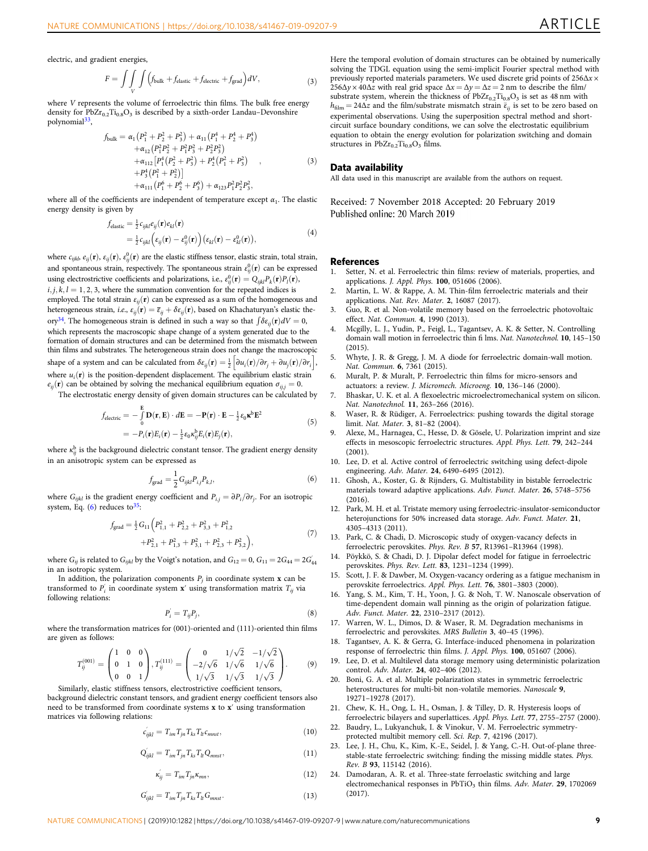<span id="page-8-0"></span>electric, and gradient energies,

$$
F = \int\int\int_{V} \int \Bigl(f_{\text{bulk}} + f_{\text{elastic}} + f_{\text{electric}} + f_{\text{grad}}\Bigr) dV,\tag{3}
$$

where V represents the volume of ferroelectric thin films. The bulk free energy density for  $\text{PbZr}_{0.2}\text{Ti}_{0.8}\text{O}_3$  is described by a sixth-order Landau–Devonshire polynomial<sup>[33](#page-9-0)</sup>,

$$
f_{\text{bulk}} = \alpha_1 (P_1^2 + P_2^2 + P_3^2) + \alpha_{11} (P_1^4 + P_2^4 + P_3^4) + \alpha_{12} (P_1^2 P_2^2 + P_1^2 P_3^2 + P_2^2 P_3^2) + \alpha_{112} [P_1^4 (P_2^2 + P_3^2) + P_2^4 (P_1^2 + P_3^2) ,+ P_3^4 (P_1^2 + P_2^2)] + \alpha_{111} (P_1^6 + P_2^6 + P_3^6) + \alpha_{123} P_1^2 P_2^2 P_3^2,
$$
 (3)

where all of the coefficients are independent of temperature except  $\alpha_1$ . The elastic energy density is given by

$$
f_{elastic} = \frac{1}{2} \epsilon_{ijkl} e_{ij}(\mathbf{r}) e_{kl}(\mathbf{r})
$$
  
=  $\frac{1}{2} \epsilon_{ijkl} \left( \epsilon_{ij}(\mathbf{r}) - \epsilon_{ij}^0(\mathbf{r}) \right) \left( \epsilon_{kl}(\mathbf{r}) - \epsilon_{kl}^0(\mathbf{r}) \right),$  (4)

where  $c_{ijkb}$ ,  $e_{ij}(\mathbf{r}),$   $\varepsilon_{ij}^0(\mathbf{r})$ ,  $\varepsilon_{ij}^0(\mathbf{r})$  are the elastic stiffness tensor, elastic strain, total strain, and spontaneous strain, respectively. The spontaneous strain  $\varepsilon_{ij}^0(\mathbf{r})$  can be expressed using electrostrictive coefficients and polarizations, i.e.,  $\varepsilon_{ij}^0(\mathbf{r}) = Q_{ijkl} P_k(\mathbf{r}) P_l(\mathbf{r})$ ,

 $i, j, k, l = 1, 2, 3$ , where the summation convention for the repeated indices is employed. The total strain  $\varepsilon_{ij}(\mathbf{r})$  can be expressed as a sum of the homogeneous and heterogeneous strain, i.e.,  $\varepsilon_{ij}(\mathbf{r}) = \bar{\varepsilon}_{ij} + \delta \varepsilon_{ij}(\mathbf{r})$ , based on Khachaturyan's elastic the-ory<sup>[34](#page-9-0)</sup>. The homogeneous strain is defined in such a way so that  $\int \delta \varepsilon_{ij}(\mathbf{r}) dV = 0$ , which represents the macroscopic shape change of a system generated due to the formation of domain structures and can be determined from the mismatch between thin films and substrates. The heterogeneous strain does not change the macroscopic shape of a system and can be calculated from  $\delta \varepsilon_{ij}(\mathbf{r}) = \frac{1}{2} \left[ \partial u_i(\mathbf{r})/\partial r_j + \partial u_j(\mathbf{r})/\partial r_i \right]$ , where  $u_i(\mathbf{r})$  is the position-dependent displacement. The equilibrium elastic strain  $e_{ij}(\mathbf{r})$  can be obtained by solving the mechanical equilibrium equation  $\sigma_{ij} = 0$ .

The electrostatic energy density of given domain structures can be calculated by

$$
f_{\text{electric}} = -\int_{0}^{E} \mathbf{D}(\mathbf{r}, \mathbf{E}) \cdot d\mathbf{E} = -\mathbf{P}(\mathbf{r}) \cdot \mathbf{E} - \frac{1}{2} \varepsilon_{0} \kappa^{b} \mathbf{E}^{2}
$$
(5)

$$
= -P_i(\mathbf{r})E_i(\mathbf{r}) - \frac{1}{2}\varepsilon_0 \kappa_{ij}^{\mathbf{b}} E_i(\mathbf{r})E_j(\mathbf{r}),
$$

where  $\kappa_{ij}^{\rm b}$  is the background dielectric constant tensor. The gradient energy density in an anisotropic system can be expressed as

$$
f_{\text{grad}} = \frac{1}{2} G_{ijkl} P_{ij} P_{k,l},
$$
\n
$$
\tag{6}
$$

where  $G_{ijkl}$  is the gradient energy coefficient and  $P_{ij} = \partial P_i / \partial r_j$ . For an isotropic system, Eq.  $(6)$  reduces to<sup>[35](#page-9-0)</sup>:

$$
f_{\text{grad}} = \frac{1}{2} G_{11} \left( P_{1,1}^2 + P_{2,2}^2 + P_{3,3}^2 + P_{1,2}^2 + P_{2,1}^2 + P_{2,1}^2 + P_{1,3}^2 + P_{3,1}^2 + P_{2,3}^2 + P_{3,2}^2 \right),
$$
\n
$$
(7)
$$

where  $G_{ij}$  is related to  $G_{ijkl}$  by the Voigt's notation, and  $G_{12} = 0$ ,  $G_{11} = 2G_{44} = 2G^{'}_{44}$ in an isotropic system.

In addition, the polarization components  $P_j$  in coordinate system **x** can be transformed to  $P'_{i}$  in coordinate system **x**' using transformation matrix  $T_{ij}$  via following relations:

$$
P_i^{'} = T_{ij} P_j,\tag{8}
$$

where the transformation matrices for (001)-oriented and (111)-oriented thin films are given as follows:

$$
T_{ij}^{(001)} = \begin{pmatrix} 1 & 0 & 0 \\ 0 & 1 & 0 \\ 0 & 0 & 1 \end{pmatrix}, T_{ij}^{(111)} = \begin{pmatrix} 0 & 1/\sqrt{2} & -1/\sqrt{2} \\ -2/\sqrt{6} & 1/\sqrt{6} & 1/\sqrt{6} \\ 1/\sqrt{3} & 1/\sqrt{3} & 1/\sqrt{3} \end{pmatrix}.
$$
 (9)

Similarly, elastic stiffness tensors, electrostrictive coefficient tensors, background dielectric constant tensors, and gradient energy coefficient tensors also need to be transformed from coordinate systems x to x′ using transformation matrices via following relations:

$$
c'_{ijkl} = T_{im} T_{jn} T_{ks} T_{lt} c_{mnst},\tag{10}
$$

$$
Q'_{ijkl} = T_{im} T_{jn} T_{ks} T_{lt} Q_{mnst}, \qquad (11)
$$

$$
\kappa_{ij}^{'} = T_{im} T_{jn} \kappa_{mn},\tag{12}
$$

$$
G'_{ijkl} = T_{im}T_{jn}T_{ks}T_{lt}G_{mnst}.\tag{13}
$$

Here the temporal evolution of domain structures can be obtained by numerically solving the TDGL equation using the semi-implicit Fourier spectral method with previously reported materials parameters. We used discrete grid points of 256Δx ×  $256\Delta y \times 40\Delta z$  with real grid space  $\Delta x = \Delta y = \Delta z = 2$  nm to describe the film/ substrate system, wherein the thickness of  $PbZr_{0.2}Ti_{0.8}O_3$  is set as 48 nm with  $h_{\text{film}} = 24\Delta z$  and the film/substrate mismatch strain  $\bar{\varepsilon}_{ij}$  is set to be zero based on experimental observations. Using the superposition spectral method and shortcircuit surface boundary conditions, we can solve the electrostatic equilibrium equation to obtain the energy evolution for polarization switching and domain structures in  $PbZr_{0.2}Ti_{0.8}O_3$  films.

## Data availability

All data used in this manuscript are available from the authors on request.

Received: 7 November 2018 Accepted: 20 February 2019

## **References**<br>1. Setter, N.

- Setter, N. et al. Ferroelectric thin films: review of materials, properties, and applications. J. Appl. Phys. 100, 051606 (2006).
- 2. Martin, L. W. & Rappe, A. M. Thin-film ferroelectric materials and their applications. Nat. Rev. Mater. 2, 16087 (2017).
- 3. Guo, R. et al. Non-volatile memory based on the ferroelectric photovoltaic effect. Nat. Commun. 4, 1990 (2013).
- 4. Mcgilly, L. J., Yudin, P., Feigl, L., Tagantsev, A. K. & Setter, N. Controlling domain wall motion in ferroelectric thin fi lms. Nat. Nanotechnol. 10, 145–150  $(2015)$
- 5. Whyte, J. R. & Gregg, J. M. A diode for ferroelectric domain-wall motion. Nat. Commun. 6, 7361 (2015).
- Muralt, P. & Muralt, P. Ferroelectric thin films for micro-sensors and actuators: a review. J. Micromech. Microeng. 10, 136–146 (2000).
- 7. Bhaskar, U. K. et al. A flexoelectric microelectromechanical system on silicon. Nat. Nanotechnol. 11, 263–266 (2016).
- Waser, R. & Rüdiger, A. Ferroelectrics: pushing towards the digital storage limit. Nat. Mater. 3, 81–82 (2004).
- 9. Alexe, M., Harnagea, C., Hesse, D. & Gösele, U. Polarization imprint and size effects in mesoscopic ferroelectric structures. Appl. Phys. Lett. 79, 242–244 (2001).
- 10. Lee, D. et al. Active control of ferroelectric switching using defect-dipole engineering. Adv. Mater. 24, 6490–6495 (2012).
- 11. Ghosh, A., Koster, G. & Rijnders, G. Multistability in bistable ferroelectric materials toward adaptive applications. Adv. Funct. Mater. 26, 5748–5756 (2016).
- 12. Park, M. H. et al. Tristate memory using ferroelectric-insulator-semiconductor heterojunctions for 50% increased data storage. Adv. Funct. Mater. 21, 4305–4313 (2011).
- 13. Park, C. & Chadi, D. Microscopic study of oxygen-vacancy defects in ferroelectric perovskites. Phys. Rev. B 57, R13961–R13964 (1998).
- 14. Pöykkö, S. & Chadi, D. J. Dipolar defect model for fatigue in ferroelectric perovskites. Phys. Rev. Lett. 83, 1231–1234 (1999).
- 15. Scott, J. F. & Dawber, M. Oxygen-vacancy ordering as a fatigue mechanism in perovskite ferroelectrics. Appl. Phys. Lett. 76, 3801–3803 (2000).
- 16. Yang, S. M., Kim, T. H., Yoon, J. G. & Noh, T. W. Nanoscale observation of time-dependent domain wall pinning as the origin of polarization fatigue. Adv. Funct. Mater. 22, 2310–2317 (2012).
- 17. Warren, W. L., Dimos, D. & Waser, R. M. Degradation mechanisms in ferroelectric and perovskites. MRS Bulletin 3, 40–45 (1996).
- 18. Tagantsev, A. K. & Gerra, G. Interface-induced phenomena in polarization response of ferroelectric thin films. J. Appl. Phys. 100, 051607 (2006).
- 19. Lee, D. et al. Multilevel data storage memory using deterministic polarization control. Adv. Mater. 24, 402–406 (2012).
- 20. Boni, G. A. et al. Multiple polarization states in symmetric ferroelectric heterostructures for multi-bit non-volatile memories. Nanoscale 9, 19271–19278 (2017).
- 21. Chew, K. H., Ong, L. H., Osman, J. & Tilley, D. R. Hysteresis loops of ferroelectric bilayers and superlattices. Appl. Phys. Lett. 77, 2755–2757 (2000).
- 22. Baudry, L., Lukyanchuk, I. & Vinokur, V. M. Ferroelectric symmetryprotected multibit memory cell. Sci. Rep. 7, 42196 (2017).
- 23. Lee, J. H., Chu, K., Kim, K.-E., Seidel, J. & Yang, C.-H. Out-of-plane threestable-state ferroelectric switching: finding the missing middle states. Phys. Rev. B 93, 115142 (2016).
- 24. Damodaran, A. R. et al. Three-state ferroelastic switching and large electromechanical responses in PbTiO<sub>3</sub> thin films. Adv. Mater. 29, 1702069 (2017).